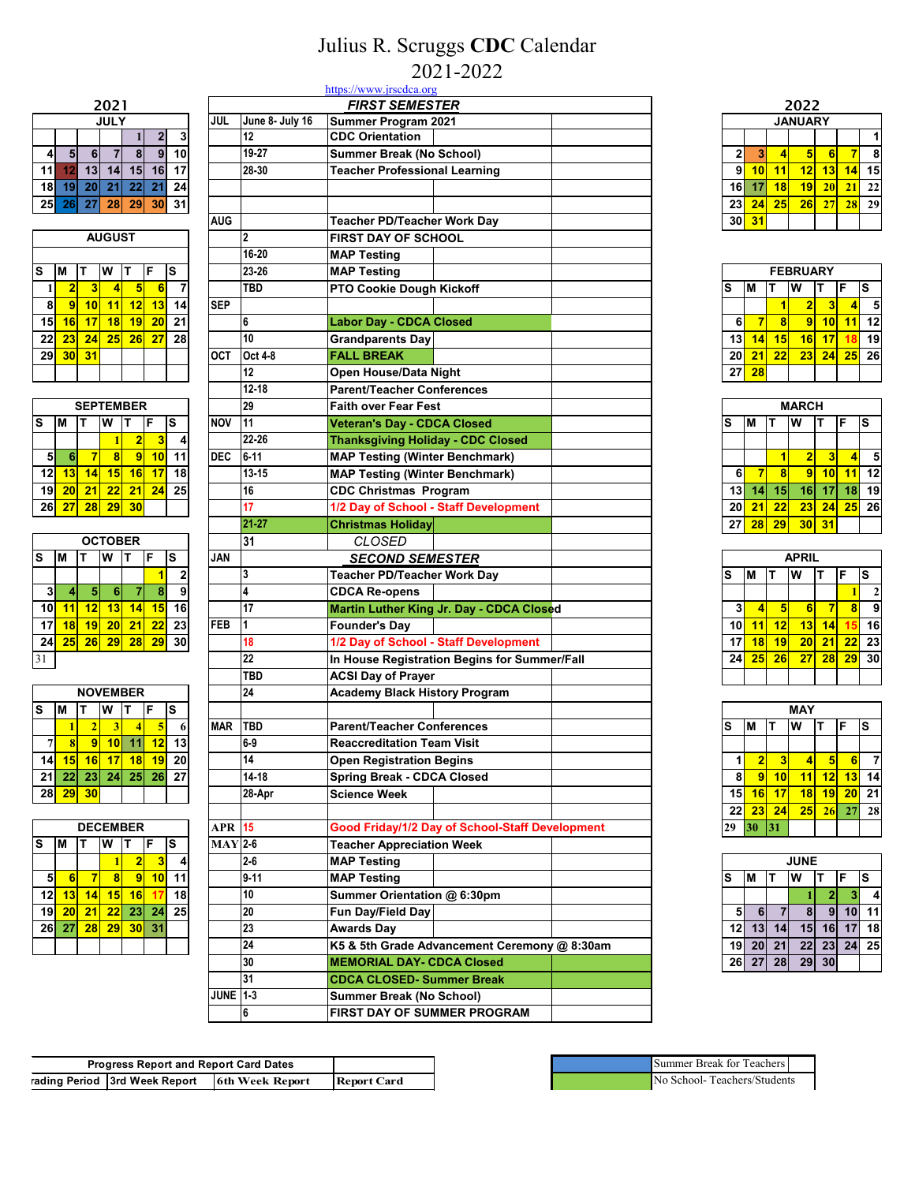## Julius R. Scruggs **CDC** Calendar 2021-2022

|    | 2021        |    |       |    |    |    |  |  |  |  |  |
|----|-------------|----|-------|----|----|----|--|--|--|--|--|
|    | <b>JULY</b> |    |       |    |    |    |  |  |  |  |  |
|    |             |    |       |    | 2  | 3  |  |  |  |  |  |
| 4  | 5           | 6  |       | 8  | 9  | 10 |  |  |  |  |  |
| 11 | 12          | 13 | 14    | 15 | 16 | 17 |  |  |  |  |  |
| 18 | 19          | 20 | 21    | 22 | 21 | 24 |  |  |  |  |  |
| 25 | <b>26</b>   |    | 27 28 | 29 | 30 | 31 |  |  |  |  |  |

|    | <b>AUGUST</b> |    |    |    |    |    |  |  |  |  |
|----|---------------|----|----|----|----|----|--|--|--|--|
|    |               |    |    |    |    |    |  |  |  |  |
| S  | М             | т  | W  | т  | F  | S  |  |  |  |  |
|    | 2             | 3  | 4  | 5  | 6  |    |  |  |  |  |
| 8  | 9             | 10 | 11 | 12 | 13 | 14 |  |  |  |  |
| 15 | 16            | 17 | 18 | 19 | 20 | 21 |  |  |  |  |
| 22 | 23            | 24 | 25 | 26 | 27 | 28 |  |  |  |  |
| 29 | 30            | 31 |    |    |    |    |  |  |  |  |
|    |               |    |    |    |    |    |  |  |  |  |

|    | <b>SEPTEMBER</b> |    |    |                |    |    |  |  |  |  |
|----|------------------|----|----|----------------|----|----|--|--|--|--|
| S  |                  |    |    |                | F  | S  |  |  |  |  |
|    |                  |    |    | $\overline{2}$ |    |    |  |  |  |  |
| 5  | 6                |    | 8  | 9              | 10 |    |  |  |  |  |
| 12 | 13               | 14 | 15 | 16             | 17 | 18 |  |  |  |  |
| 19 | 20               | 21 | 22 | 21             | 24 | 25 |  |  |  |  |
| 26 | 27               | 28 | 29 | 30             |    |    |  |  |  |  |

| <b>OCTOBER</b> |    |    |    |    |    |    |  |  |  |
|----------------|----|----|----|----|----|----|--|--|--|
| s              | м  |    | W  |    | F  | S  |  |  |  |
|                |    |    |    |    |    | 2  |  |  |  |
| 3              |    | 5  | 6  |    | 8  | 9  |  |  |  |
| 10             | 11 | 12 | 13 | 14 | 15 | 16 |  |  |  |
| 17             | 18 | 19 | 20 | 21 | 22 | 23 |  |  |  |
| 24             | 25 | 26 | 29 | 28 | 29 | 30 |  |  |  |
| 31             |    |    |    |    |    |    |  |  |  |

|    | <b>NOVEMBER</b> |    |    |                 |    |    |  |  |  |  |
|----|-----------------|----|----|-----------------|----|----|--|--|--|--|
| S  | м               | F  |    |                 |    |    |  |  |  |  |
|    |                 | 2  | 3  |                 | 5  |    |  |  |  |  |
|    | 8               | g  | 10 | 11              | 12 | 13 |  |  |  |  |
| 14 | 15              | 16 | 17 | 18              | 19 | 20 |  |  |  |  |
| 21 | 22              | 23 | 24 | 25 <sub>1</sub> | 26 | 27 |  |  |  |  |
| 28 | 29              | 30 |    |                 |    |    |  |  |  |  |

|    | <b>DECEMBER</b> |        |    |                |    |    |  |  |  |  |
|----|-----------------|--------|----|----------------|----|----|--|--|--|--|
| S  |                 | S<br>F |    |                |    |    |  |  |  |  |
|    |                 |        |    | $\overline{2}$ | з  |    |  |  |  |  |
| 5  | 6               |        | 8  | 9              | 10 | 11 |  |  |  |  |
| 12 | 13              | 14     | 15 | 16             |    | 18 |  |  |  |  |
| 19 | 20              | 21     | 22 | 23             | 24 | 25 |  |  |  |  |
| 26 | 27              | 28     | 29 | 30             | 31 |    |  |  |  |  |
|    |                 |        |    |                |    |    |  |  |  |  |

|                                                                                                               |                 |                 | https://www.jrscdca.org                  |                                                 |  |                  |                         |                         |                         |                         |                         |                          |
|---------------------------------------------------------------------------------------------------------------|-----------------|-----------------|------------------------------------------|-------------------------------------------------|--|------------------|-------------------------|-------------------------|-------------------------|-------------------------|-------------------------|--------------------------|
| 2021                                                                                                          |                 |                 | <b>FIRST SEMESTER</b>                    |                                                 |  |                  |                         |                         | 2022                    |                         |                         |                          |
| <b>JULY</b>                                                                                                   | JUL             | June 8- July 16 | Summer Program 2021                      |                                                 |  |                  |                         |                         | <b>JANUARY</b>          |                         |                         |                          |
| 2<br>3                                                                                                        |                 | 12              | <b>CDC Orientation</b>                   |                                                 |  |                  |                         |                         |                         |                         |                         | 1                        |
| 8<br>9<br>10<br>5<br>$6\phantom{a}$<br>$\overline{7}$<br>4                                                    |                 | 19-27           | Summer Break (No School)                 |                                                 |  | $\boldsymbol{2}$ | $\mathbf{3}$            | $\overline{\mathbf{4}}$ | 5                       | 6                       | $\overline{7}$          | 8                        |
| 13<br>14<br>15<br>16<br>11<br>12<br>17                                                                        |                 | 28-30           | <b>Teacher Professional Learning</b>     |                                                 |  | 9                | 10                      | 11                      | 12                      | 13                      | 14                      | 15                       |
| 18<br>22<br>19<br>20<br>21<br>21<br>24                                                                        |                 |                 |                                          |                                                 |  | 16               | 17                      | 18                      | 19                      | 20                      | 21                      | 22                       |
| 25<br>28<br>29<br>31<br>27<br>30<br>26                                                                        |                 |                 |                                          |                                                 |  | 23               | 24                      | 25                      | 26                      | 27                      | 28                      | 29                       |
|                                                                                                               | <b>AUG</b>      |                 | <b>Teacher PD/Teacher Work Day</b>       |                                                 |  | 30               | 31                      |                         |                         |                         |                         |                          |
| <b>AUGUST</b>                                                                                                 |                 | $\overline{2}$  | <b>FIRST DAY OF SCHOOL</b>               |                                                 |  |                  |                         |                         |                         |                         |                         |                          |
|                                                                                                               |                 | 16-20           | <b>MAP Testing</b>                       |                                                 |  |                  |                         |                         |                         |                         |                         |                          |
| S<br>M<br>W<br>ls<br>lΤ<br>F                                                                                  |                 | 23-26           | <b>MAP Testing</b>                       |                                                 |  |                  |                         |                         | <b>FEBRUARY</b>         |                         |                         |                          |
| $\overline{7}$<br>$\overline{2}$<br>3<br>5<br>6<br>1<br>4                                                     |                 | TBD             | PTO Cookie Dough Kickoff                 |                                                 |  | s                | M                       | т                       | W                       |                         | F                       | ls.                      |
| 8<br>9<br>10<br>12<br>14<br>11<br>13                                                                          | <b>SEP</b>      |                 |                                          |                                                 |  |                  |                         | $\blacksquare$          | $\overline{2}$          | $\overline{\mathbf{3}}$ | $\overline{4}$          | $\overline{\phantom{a}}$ |
| 15<br>18<br>19<br>16<br>17<br>20<br>21                                                                        |                 | 6               | <b>Labor Day - CDCA Closed</b>           |                                                 |  | 6                | $\overline{7}$          | $\bf{8}$                | $\overline{9}$          | 10                      | 11                      | 12                       |
| $\overline{22}$<br>25<br>26<br>28<br>23<br>24<br>27                                                           |                 | 10              | <b>Grandparents Day</b>                  |                                                 |  | 13               | 14                      | 15                      | 16                      | 17                      | 18                      | 19                       |
| 29<br>31<br>30                                                                                                | <b>OCT</b>      | Oct 4-8         | <b>FALL BREAK</b>                        |                                                 |  | 20               | 21                      | 22                      | 23                      | 24                      | 25                      | 26                       |
|                                                                                                               |                 | 12              | Open House/Data Night                    |                                                 |  | 27               | 28                      |                         |                         |                         |                         |                          |
|                                                                                                               |                 | $12 - 18$       | <b>Parent/Teacher Conferences</b>        |                                                 |  |                  |                         |                         |                         |                         |                         |                          |
| <b>SEPTEMBER</b>                                                                                              |                 | 29              | <b>Faith over Fear Fest</b>              |                                                 |  |                  |                         |                         | <b>MARCH</b>            |                         |                         |                          |
| F<br>S<br>W<br>S<br>IТ<br>lΤ                                                                                  | <b>INOV</b>     | 11              |                                          |                                                 |  | s                | M                       | т                       |                         | т                       | F                       |                          |
| М<br>1                                                                                                        |                 | 22-26           | <b>Veteran's Day - CDCA Closed</b>       |                                                 |  |                  |                         |                         | W                       |                         |                         | ls                       |
| $\overline{2}$<br>3<br>4                                                                                      |                 |                 | <b>Thanksgiving Holiday - CDC Closed</b> |                                                 |  |                  |                         |                         |                         |                         |                         |                          |
| $\overline{\mathbf{8}}$<br>$\overline{9}$<br>11<br>5<br>$\overline{7}$<br>10<br>6                             | <b>DEC</b>      | $6 - 11$        | <b>MAP Testing (Winter Benchmark)</b>    |                                                 |  |                  |                         | $\mathbf{1}$            | $\overline{\mathbf{2}}$ | $\overline{\mathbf{3}}$ | $\blacktriangleleft$    | 5                        |
| 14<br>15<br>16<br>17<br>12<br>18<br>13                                                                        |                 | $13 - 15$       | <b>MAP Testing (Winter Benchmark)</b>    |                                                 |  | 6                | $\overline{7}$          | $\bf{8}$                | 9                       | 10                      | 11                      | 12                       |
| $\overline{19}$<br>21<br>22<br>21<br>24<br>25<br>20                                                           |                 | 16              | <b>CDC Christmas Program</b>             |                                                 |  | 13               | 14                      | 15                      | 16                      | $\overline{17}$         |                         | $18$ 19                  |
| 26<br>28<br>29<br>30<br>27                                                                                    |                 | 17              |                                          | 1/2 Day of School - Staff Development           |  | 20               | 21                      | 22                      | $\overline{23}$         | 24                      | 25                      | 26                       |
|                                                                                                               |                 | 21-27           | <b>Christmas Holiday</b>                 |                                                 |  | 27               | 28                      | 29                      | 30                      | 31                      |                         |                          |
| <b>OCTOBER</b>                                                                                                |                 | 31              | <b>CLOSED</b>                            |                                                 |  |                  |                         |                         |                         |                         |                         |                          |
| S<br>M<br>W<br>lΤ<br>F<br>S<br>ΙT                                                                             | JAN             |                 | <b>SECOND SEMESTER</b>                   |                                                 |  |                  |                         |                         | <b>APRIL</b>            |                         |                         |                          |
| 2<br>1                                                                                                        |                 | 3               | <b>Teacher PD/Teacher Work Day</b>       |                                                 |  | S                | M                       | T                       | W                       | т                       | F                       | ls.                      |
| 8<br>9<br>3<br>$\sqrt{5}$<br>6<br>7<br>4                                                                      |                 | 4               | <b>CDCA Re-opens</b>                     |                                                 |  |                  |                         |                         |                         |                         | $\mathbf{1}$            | $\overline{2}$           |
| 10<br>16<br>12<br>13<br>14<br>15<br>11                                                                        |                 | 17              |                                          | Martin Luther King Jr. Day - CDCA Closed        |  | 3                | $\overline{\mathbf{r}}$ | 5                       | $6\phantom{1}6$         | -7                      | $\overline{\mathbf{8}}$ | S                        |
| $\overline{23}$<br>17<br> 19 <br>20<br>21<br>18<br>22                                                         | <b>FEB</b>      | 1               | <b>Founder's Day</b>                     |                                                 |  | 10 <sup>1</sup>  | 11                      | 12                      | 13                      | 14                      | 15                      | 16                       |
| 24<br>25<br>26<br>29<br>28<br>29<br>30                                                                        |                 | 18              |                                          | 1/2 Day of School - Staff Development           |  | 17               | 18                      | 19                      | 20                      | 21                      | $\overline{22}$         | 23                       |
| 31                                                                                                            |                 | 22              |                                          | In House Registration Begins for Summer/Fall    |  | 24               | 25                      | 26                      | 27                      | 28                      | 29                      | 30                       |
|                                                                                                               |                 | TBD             | <b>ACSI Day of Prayer</b>                |                                                 |  |                  |                         |                         |                         |                         |                         |                          |
| <b>NOVEMBER</b>                                                                                               |                 | 24              | <b>Academy Black History Program</b>     |                                                 |  |                  |                         |                         |                         |                         |                         |                          |
| S<br>W<br>F<br>S<br>М<br>ΙT<br>т                                                                              |                 |                 |                                          |                                                 |  |                  |                         |                         | <b>MAY</b>              |                         |                         |                          |
| $\overline{2}$<br>$\overline{\mathbf{3}}$<br>1<br>5<br>6<br>4                                                 | <b>MAR</b>      | <b>TBD</b>      | <b>Parent/Teacher Conferences</b>        |                                                 |  | s                | M                       | İΤ                      | W                       | т                       | lF.                     | ls                       |
| $\overline{7}$<br>$\overline{\mathbf{8}}$<br>$\vert$ 9 $\vert$<br>$\overline{10}$ 11<br>12<br>13              |                 | $6-9$           | <b>Reaccreditation Team Visit</b>        |                                                 |  |                  |                         |                         |                         |                         |                         |                          |
| 14 15 16 17 18 19 20                                                                                          |                 | 14              | <b>Open Registration Begins</b>          |                                                 |  | $\mathbf{1}$     | $\mathbf{z}$            | $\mathbf{3}$            | $\vert$                 | 5 <sub>l</sub>          | $6 \mid$                | -7                       |
| 21 22 23 24 25 26 27                                                                                          |                 | $14 - 18$       | <b>Spring Break - CDCA Closed</b>        |                                                 |  | 8                | 9                       | 10                      | 11                      | 12                      | <mark>13</mark> 14      |                          |
| 28 29 30                                                                                                      |                 | 28-Apr          | <b>Science Week</b>                      |                                                 |  |                  | 15 16 17                |                         |                         | $18$ 19                 | $20$ 21                 |                          |
|                                                                                                               |                 |                 |                                          |                                                 |  |                  | 22 23 24                |                         | 25                      | 26                      |                         | $27 \ 28$                |
| <b>DECEMBER</b>                                                                                               | <b>APR 15</b>   |                 |                                          | Good Friday/1/2 Day of School-Staff Development |  | 29               | 30 31                   |                         |                         |                         |                         |                          |
| s<br>M<br>$ W $ T<br>-lF<br>S<br>IТ                                                                           | $MAY$ 2-6       |                 | <b>Teacher Appreciation Week</b>         |                                                 |  |                  |                         |                         |                         |                         |                         |                          |
| $\overline{\mathbf{2}}$<br>$\bf{3}$<br>4                                                                      |                 | $2 - 6$         | <b>MAP Testing</b>                       |                                                 |  |                  |                         |                         | <b>JUNE</b>             |                         |                         |                          |
| 5<br>$\bf{8}$<br> 9 <br>$10$ 11<br>$\overline{7}$<br>-6                                                       |                 | $9 - 11$        | <b>MAP Testing</b>                       |                                                 |  | s                | M                       | IТ                      | W                       | т                       | F                       | S                        |
| 12<br>$ 15 $ 16<br>$\sqrt{14}$<br>18<br>-17<br> 13                                                            |                 | 10              | Summer Orientation @ 6:30pm              |                                                 |  |                  |                         |                         |                         | $\mathbf{2}$            |                         | $3^{\circ}$ 4            |
| $19$ 20<br>$\begin{array}{ c c c c c }\n\hline\n22 & 23 & 24 \\ \hline\n\end{array}$<br>$\overline{25}$<br>21 |                 | 20              | Fun Day/Field Day                        |                                                 |  | 5 <sub>1</sub>   | $6 \mid$                | $\overline{7}$          | 8 <sup>1</sup>          | 9                       | $10$ 11                 |                          |
| $26$ 27<br>$\overline{28}$<br>$\overline{29}$<br>$30$ 31                                                      |                 | 23              | <b>Awards Day</b>                        |                                                 |  | 12               |                         | $13$ 14                 |                         |                         | 15 16 17 18             |                          |
|                                                                                                               |                 | 24              |                                          | K5 & 5th Grade Advancement Ceremony @ 8:30am    |  | 19               |                         | $20 \mid 21$            |                         |                         | 22 23 24 25             |                          |
|                                                                                                               |                 | 30              | <b>MEMORIAL DAY- CDCA Closed</b>         |                                                 |  | 26               | 27                      | 28                      |                         | 29 30                   |                         |                          |
|                                                                                                               |                 | 31              | <b>CDCA CLOSED- Summer Break</b>         |                                                 |  |                  |                         |                         |                         |                         |                         |                          |
|                                                                                                               | <b>JUNE 1-3</b> |                 | Summer Break (No School)                 |                                                 |  |                  |                         |                         |                         |                         |                         |                          |
|                                                                                                               |                 | 6               | FIRST DAY OF SUMMER PROGRAM              |                                                 |  |                  |                         |                         |                         |                         |                         |                          |
|                                                                                                               |                 |                 |                                          |                                                 |  |                  |                         |                         |                         |                         |                         |                          |

|             | 2022           |    |    |    |    |    |  |  |  |  |  |
|-------------|----------------|----|----|----|----|----|--|--|--|--|--|
|             | <b>JANUARY</b> |    |    |    |    |    |  |  |  |  |  |
|             |                |    |    |    |    |    |  |  |  |  |  |
| $\mathbf 2$ | 3              | 4  | 5  | 6  |    | 8  |  |  |  |  |  |
| 9           | 10             | 11 | 12 | 13 | 14 | 15 |  |  |  |  |  |
| 16          | 17             | 18 | 19 | 20 | 21 | 22 |  |  |  |  |  |
| 23          | 24             | 25 | 26 | 27 | 28 | 29 |  |  |  |  |  |
| 30          | 31             |    |    |    |    |    |  |  |  |  |  |

| <b>FEBRUARY</b> |                  |    |                         |    |    |    |  |  |  |
|-----------------|------------------|----|-------------------------|----|----|----|--|--|--|
| ls              | S<br>F<br>w<br>М |    |                         |    |    |    |  |  |  |
|                 |                  |    | $\overline{\mathbf{2}}$ | 3  | 4  | 5  |  |  |  |
| 6               |                  | 8  | 9                       | 10 |    | 12 |  |  |  |
| 13              | 14               | 15 | 16                      | 17 | 18 | 19 |  |  |  |
| 20              | 21               | 22 | 23                      | 24 | 25 | 26 |  |  |  |
| 27              | 28               |    |                         |    |    |    |  |  |  |

|    | <b>MARCH</b> |    |                         |    |        |    |  |  |  |  |  |
|----|--------------|----|-------------------------|----|--------|----|--|--|--|--|--|
| ls | М            | т  | W                       | т  | S<br>F |    |  |  |  |  |  |
|    |              |    |                         |    |        |    |  |  |  |  |  |
|    |              |    | $\overline{\mathbf{2}}$ | 3  | 4      | 5  |  |  |  |  |  |
| 6  |              | 8  | 9                       | 10 | 11     | 12 |  |  |  |  |  |
| 13 | 14           | 15 | 16                      | 17 | 18     | 19 |  |  |  |  |  |
| 20 | 21           | 22 | 23                      | 24 | 25     | 26 |  |  |  |  |  |
| 27 | 28           | 29 | 30                      | 31 |        |    |  |  |  |  |  |

|          | <b>APRIL</b> |                       |    |    |    |              |  |  |  |  |
|----------|--------------|-----------------------|----|----|----|--------------|--|--|--|--|
| <b>S</b> | М            | S<br>F<br>W<br>т<br>Т |    |    |    |              |  |  |  |  |
|          |              |                       |    |    |    | $\mathbf{2}$ |  |  |  |  |
| 3        | 4            | 5                     | 6  |    | 8  | 9            |  |  |  |  |
| 10       | 11           | 12                    | 13 | 14 | 15 | 16           |  |  |  |  |
| 17       | 18           | 19                    | 20 | 21 | 22 | 23           |  |  |  |  |
| 24       | 25           | 26                    | 27 | 28 | 29 | 30           |  |  |  |  |
|          |              |                       |    |    |    |              |  |  |  |  |

|    | <b>MAY</b>     |    |    |    |    |    |  |  |  |  |
|----|----------------|----|----|----|----|----|--|--|--|--|
| S  | М              | т  | W  | т  | F  | S  |  |  |  |  |
|    |                |    |    |    |    |    |  |  |  |  |
| 1  | $\overline{2}$ | 3  | 4  | 5  | 6  |    |  |  |  |  |
| 8  | 9              | 10 | 11 | 12 | 13 | 14 |  |  |  |  |
| 15 | 16             | 17 | 18 | 19 | 20 | 21 |  |  |  |  |
| 22 | 23             | 24 | 25 | 26 | 27 | 28 |  |  |  |  |
| 29 | 30             | 31 |    |    |    |    |  |  |  |  |

| <b>JUNE</b> |    |    |    |    |    |    |
|-------------|----|----|----|----|----|----|
| ls          | М  |    | w  |    | F  | S  |
|             |    |    |    | 2  | 3  |    |
| 5           | 6  |    | 8  | 9  | 10 | 11 |
| 12          | 13 | 14 | 15 | 16 | 17 | 18 |
| 19          | 20 | 21 | 22 | 23 | 24 | 25 |
| 26          | 27 | 28 | 29 | 30 |    |    |

| <b>Progress Report and Report Card Dates</b> |                               |                        |                    |
|----------------------------------------------|-------------------------------|------------------------|--------------------|
|                                              | rading Period 3rd Week Report | <b>6th Week Report</b> | <b>Report Card</b> |

| Summer Break for Teachers   |  |
|-----------------------------|--|
| No School-Teachers/Students |  |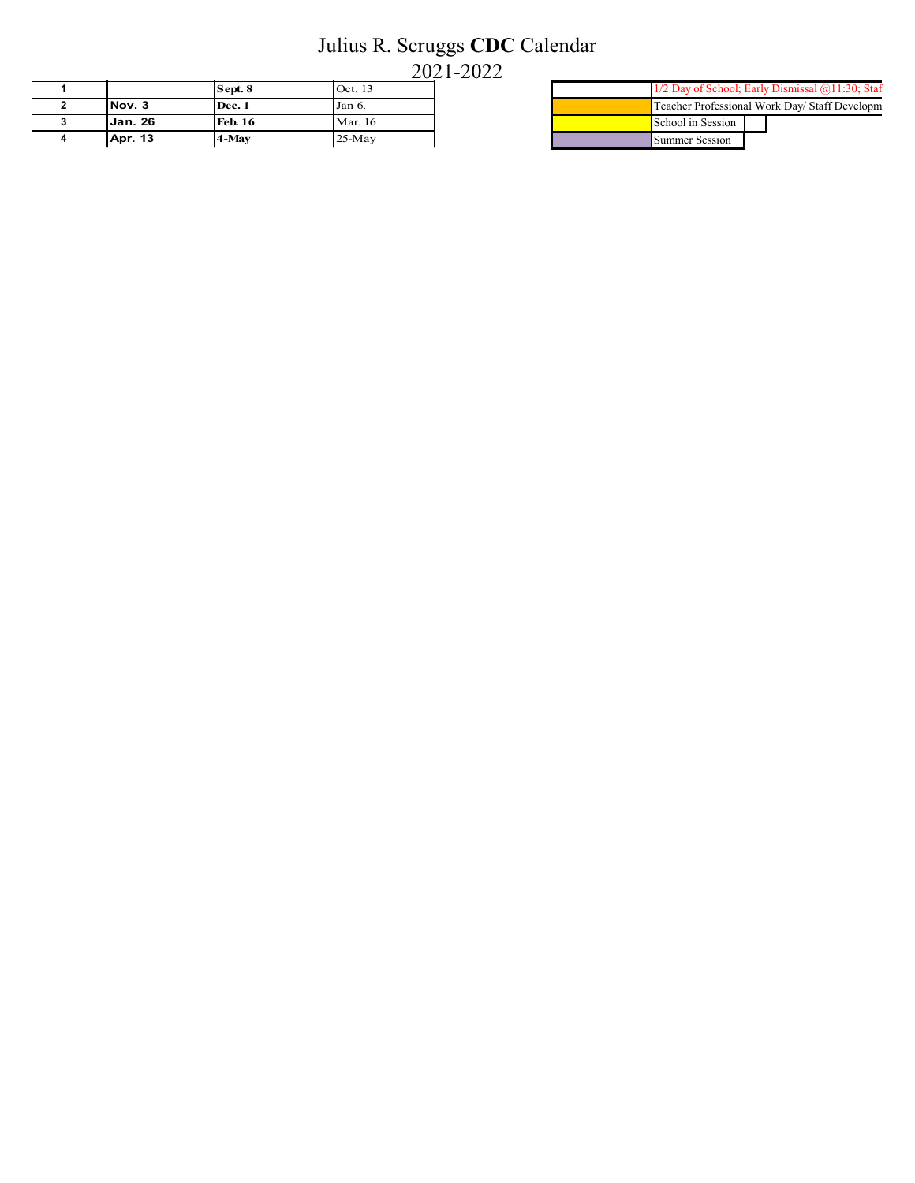## Julius R. Scruggs **CDC** Calendar

2021-2022

|                | Sept. 8        | Oct. 13  |  |
|----------------|----------------|----------|--|
| Nov. 3         | Dec. 1         | Jan 6.   |  |
| <b>Jan. 26</b> | <b>Feb. 16</b> | Mar. 16  |  |
| <b>Apr. 13</b> | 4-May          | $25-May$ |  |

| 1/2 Day of School; Early Dismissal @11:30; Staf |  |  |  |
|-------------------------------------------------|--|--|--|
| Teacher Professional Work Day/ Staff Developm   |  |  |  |
| School in Session                               |  |  |  |
| Summer Session                                  |  |  |  |